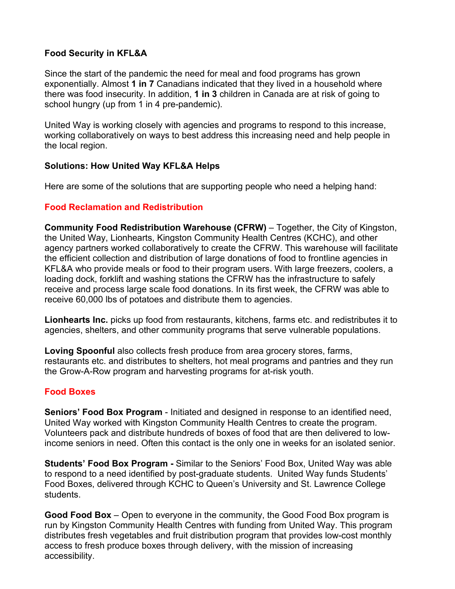# **Food Security in KFL&A**

Since the start of the pandemic the need for meal and food programs has grown exponentially. Almost **1 in 7** Canadians indicated that they lived in a household where there was food insecurity. In addition, **1 in 3** children in Canada are at risk of going to school hungry (up from 1 in 4 pre-pandemic).

United Way is working closely with agencies and programs to respond to this increase, working collaboratively on ways to best address this increasing need and help people in the local region.

#### **Solutions: How United Way KFL&A Helps**

Here are some of the solutions that are supporting people who need a helping hand:

### **Food Reclamation and Redistribution**

**Community Food Redistribution Warehouse (CFRW)** – Together, the City of Kingston, the United Way, Lionhearts, Kingston Community Health Centres (KCHC), and other agency partners worked collaboratively to create the CFRW. This warehouse will facilitate the efficient collection and distribution of large donations of food to frontline agencies in KFL&A who provide meals or food to their program users. With large freezers, coolers, a loading dock, forklift and washing stations the CFRW has the infrastructure to safely receive and process large scale food donations. In its first week, the CFRW was able to receive 60,000 lbs of potatoes and distribute them to agencies.

**Lionhearts Inc.** picks up food from restaurants, kitchens, farms etc. and redistributes it to agencies, shelters, and other community programs that serve vulnerable populations.

**Loving Spoonful** also collects fresh produce from area grocery stores, farms, restaurants etc. and distributes to shelters, hot meal programs and pantries and they run the Grow-A-Row program and harvesting programs for at-risk youth.

# **Food Boxes**

**Seniors' Food Box Program** - Initiated and designed in response to an identified need, United Way worked with Kingston Community Health Centres to create the program. Volunteers pack and distribute hundreds of boxes of food that are then delivered to lowincome seniors in need. Often this contact is the only one in weeks for an isolated senior.

**Students' Food Box Program -** Similar to the Seniors' Food Box, United Way was able to respond to a need identified by post-graduate students. United Way funds Students' Food Boxes, delivered through KCHC to Queen's University and St. Lawrence College students.

**Good Food Box** – Open to everyone in the community, the Good Food Box program is run by Kingston Community Health Centres with funding from United Way. This program distributes fresh vegetables and fruit distribution program that provides low-cost monthly access to fresh produce boxes through delivery, with the mission of increasing accessibility.